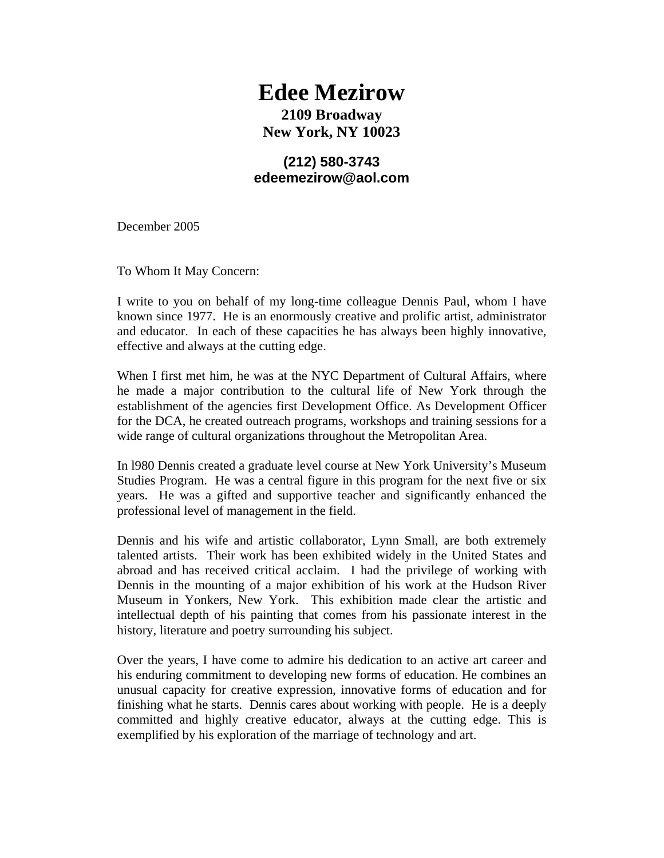## **Edee Mezirow 2109 Broadway New York, NY 10023**

## **(212) 580-3743 edeemezirow@aol.com**

December 2005

To Whom It May Concern:

I write to you on behalf of my long-time colleague Dennis Paul, whom I have known since 1977. He is an enormously creative and prolific artist, administrator and educator. In each of these capacities he has always been highly innovative, effective and always at the cutting edge.

When I first met him, he was at the NYC Department of Cultural Affairs, where he made a major contribution to the cultural life of New York through the establishment of the agencies first Development Office. As Development Officer for the DCA, he created outreach programs, workshops and training sessions for a wide range of cultural organizations throughout the Metropolitan Area.

In l980 Dennis created a graduate level course at New York University's Museum Studies Program. He was a central figure in this program for the next five or six years. He was a gifted and supportive teacher and significantly enhanced the professional level of management in the field.

Dennis and his wife and artistic collaborator, Lynn Small, are both extremely talented artists. Their work has been exhibited widely in the United States and abroad and has received critical acclaim. I had the privilege of working with Dennis in the mounting of a major exhibition of his work at the Hudson River Museum in Yonkers, New York. This exhibition made clear the artistic and intellectual depth of his painting that comes from his passionate interest in the history, literature and poetry surrounding his subject.

Over the years, I have come to admire his dedication to an active art career and his enduring commitment to developing new forms of education. He combines an unusual capacity for creative expression, innovative forms of education and for finishing what he starts. Dennis cares about working with people. He is a deeply committed and highly creative educator, always at the cutting edge. This is exemplified by his exploration of the marriage of technology and art.